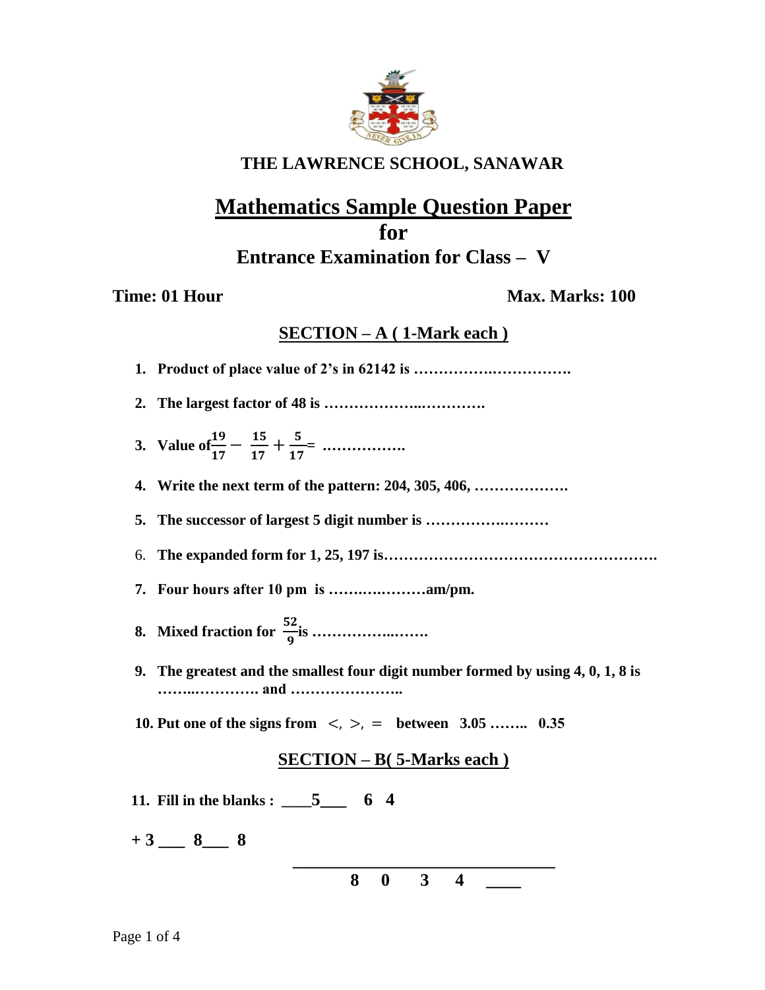

## **THE LAWRENCE SCHOOL, SANAWAR**

# **Mathematics Sample Question Paper for Entrance Examination for Class – V**

### **Time: 01 Hour Max. Marks: 100**

### **SECTION – A ( 1-Mark each )**

**1. Product of place value of 2's in 62142 is …………….……………. 2. The largest factor of 48 is ………………..…………. 3. Value of**  $\frac{19}{17} - \frac{15}{17}$  $\frac{15}{17} + \frac{5}{17}$  **= .……………. 4. Write the next term of the pattern: 204, 305, 406, ………………. 5. The successor of largest 5 digit number is …………….………** 6. **The expanded form for 1, 25, 197 is………………………………………………. 7. Four hours after 10 pm is …….….………am/pm. 8. Mixed fraction for**  $\frac{52}{9}$ **is ………………… 9. The greatest and the smallest four digit number formed by using 4, 0, 1, 8 is ……..…………. and ………………….. 10. Put one of the signs from** <, >, = **between 3.05 …….. 0.35 SECTION – B( 5-Marks each ) 11. Fill in the blanks : \_\_\_\_5\_\_\_ 6 4**   $+3$  <u>8</u> 8

 **8 0 3 4 \_\_\_\_**

 **\_\_\_\_\_\_\_\_\_\_\_\_\_\_\_\_\_\_\_\_\_\_\_\_\_\_\_\_\_\_**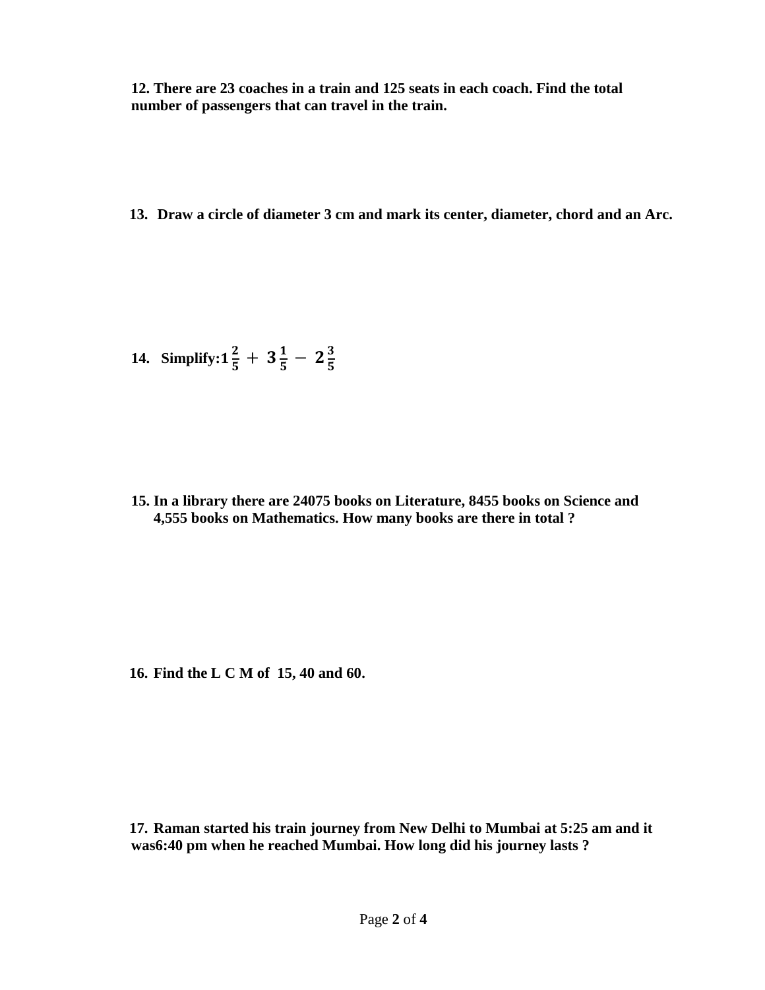**12. There are 23 coaches in a train and 125 seats in each coach. Find the total number of passengers that can travel in the train.** 

**13. Draw a circle of diameter 3 cm and mark its center, diameter, chord and an Arc.** 

14. Simplify: 
$$
1\frac{2}{5} + 3\frac{1}{5} - 2\frac{3}{5}
$$

**15. In a library there are 24075 books on Literature, 8455 books on Science and 4,555 books on Mathematics. How many books are there in total ?**

**16. Find the L C M of 15, 40 and 60.**

**17. Raman started his train journey from New Delhi to Mumbai at 5:25 am and it was6:40 pm when he reached Mumbai. How long did his journey lasts ?**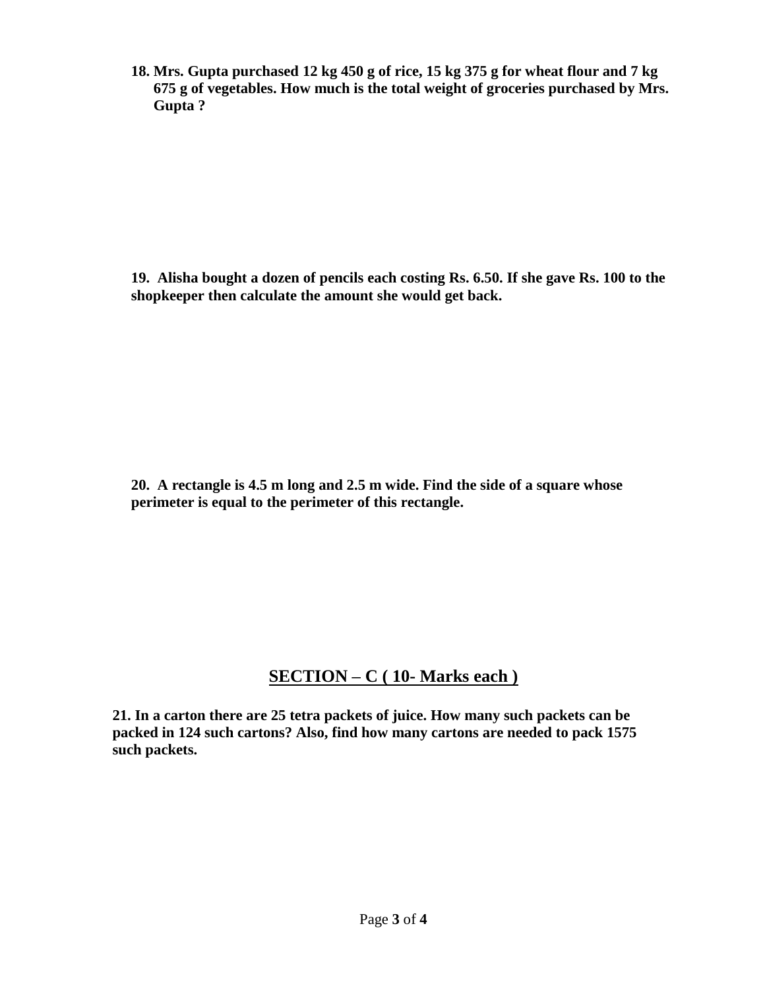**18. Mrs. Gupta purchased 12 kg 450 g of rice, 15 kg 375 g for wheat flour and 7 kg 675 g of vegetables. How much is the total weight of groceries purchased by Mrs. Gupta ?**

**19. Alisha bought a dozen of pencils each costing Rs. 6.50. If she gave Rs. 100 to the shopkeeper then calculate the amount she would get back.**

**20. A rectangle is 4.5 m long and 2.5 m wide. Find the side of a square whose perimeter is equal to the perimeter of this rectangle.** 

## **SECTION – C ( 10- Marks each )**

**21. In a carton there are 25 tetra packets of juice. How many such packets can be packed in 124 such cartons? Also, find how many cartons are needed to pack 1575 such packets.**